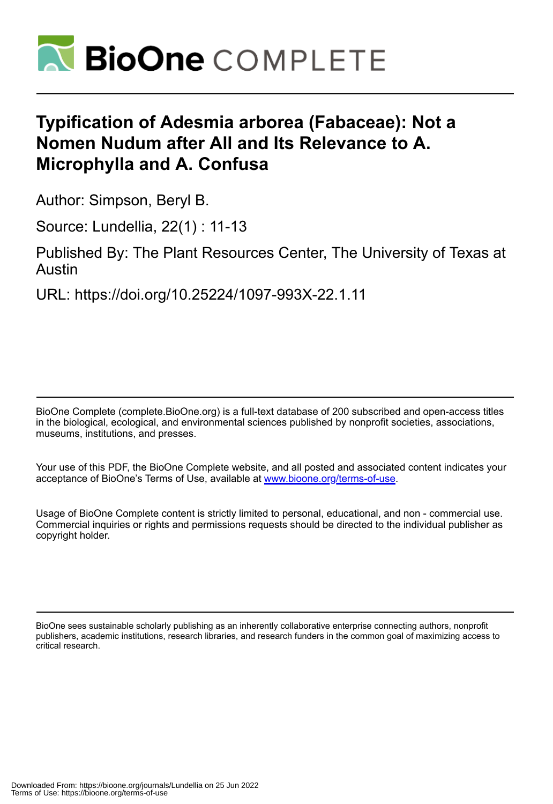

# **Typification of Adesmia arborea (Fabaceae): Not a Nomen Nudum after All and Its Relevance to A. Microphylla and A. Confusa**

Author: Simpson, Beryl B.

Source: Lundellia, 22(1) : 11-13

Published By: The Plant Resources Center, The University of Texas at Austin

URL: https://doi.org/10.25224/1097-993X-22.1.11

BioOne Complete (complete.BioOne.org) is a full-text database of 200 subscribed and open-access titles in the biological, ecological, and environmental sciences published by nonprofit societies, associations, museums, institutions, and presses.

Your use of this PDF, the BioOne Complete website, and all posted and associated content indicates your acceptance of BioOne's Terms of Use, available at www.bioone.org/terms-of-use.

Usage of BioOne Complete content is strictly limited to personal, educational, and non - commercial use. Commercial inquiries or rights and permissions requests should be directed to the individual publisher as copyright holder.

BioOne sees sustainable scholarly publishing as an inherently collaborative enterprise connecting authors, nonprofit publishers, academic institutions, research libraries, and research funders in the common goal of maximizing access to critical research.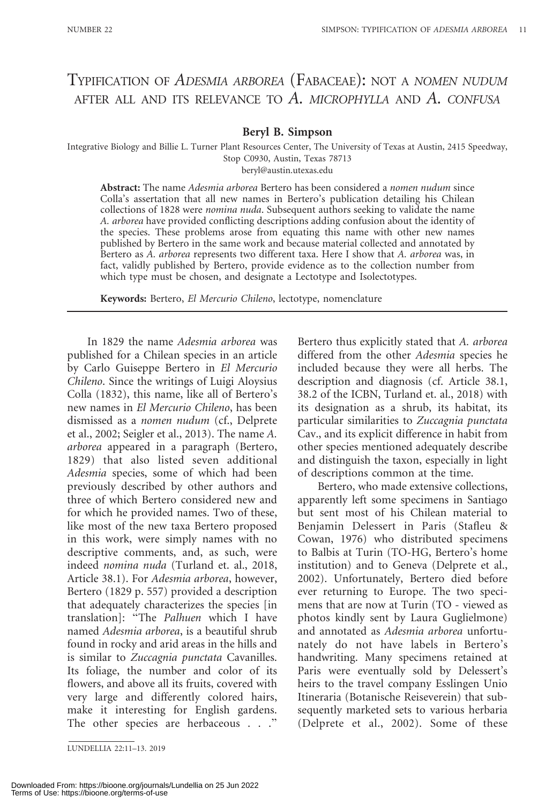# TYPIFICATION OF ADESMIA ARBOREA (FABACEAE): NOT A NOMEN NUDUM AFTER ALL AND ITS RELEVANCE TO  $A$ . MICROPHYLLA AND  $A$ . CONFUSA

### Beryl B. Simpson

Integrative Biology and Billie L. Turner Plant Resources Center, The University of Texas at Austin, 2415 Speedway, Stop C0930, Austin, Texas 78713

beryl@austin.utexas.edu

Abstract: The name Adesmia arborea Bertero has been considered a nomen nudum since Colla's assertation that all new names in Bertero's publication detailing his Chilean collections of 1828 were nomina nuda. Subsequent authors seeking to validate the name A. arborea have provided conflicting descriptions adding confusion about the identity of the species. These problems arose from equating this name with other new names published by Bertero in the same work and because material collected and annotated by Bertero as A. arborea represents two different taxa. Here I show that A. arborea was, in fact, validly published by Bertero, provide evidence as to the collection number from which type must be chosen, and designate a Lectotype and Isolectotypes.

Keywords: Bertero, El Mercurio Chileno, lectotype, nomenclature

In 1829 the name Adesmia arborea was published for a Chilean species in an article by Carlo Guiseppe Bertero in El Mercurio Chileno. Since the writings of Luigi Aloysius Colla (1832), this name, like all of Bertero's new names in El Mercurio Chileno, has been dismissed as a nomen nudum (cf., Delprete et al., 2002; Seigler et al., 2013). The name A. arborea appeared in a paragraph (Bertero, 1829) that also listed seven additional Adesmia species, some of which had been previously described by other authors and three of which Bertero considered new and for which he provided names. Two of these, like most of the new taxa Bertero proposed in this work, were simply names with no descriptive comments, and, as such, were indeed nomina nuda (Turland et. al., 2018, Article 38.1). For Adesmia arborea, however, Bertero (1829 p. 557) provided a description that adequately characterizes the species [in translation]: ''The Palhuen which I have named Adesmia arborea, is a beautiful shrub found in rocky and arid areas in the hills and is similar to Zuccagnia punctata Cavanilles. Its foliage, the number and color of its flowers, and above all its fruits, covered with very large and differently colored hairs, make it interesting for English gardens. The other species are herbaceous . . .''

Bertero thus explicitly stated that A. arborea differed from the other Adesmia species he included because they were all herbs. The description and diagnosis (cf. Article 38.1, 38.2 of the ICBN, Turland et. al., 2018) with its designation as a shrub, its habitat, its particular similarities to Zuccagnia punctata Cav., and its explicit difference in habit from other species mentioned adequately describe and distinguish the taxon, especially in light of descriptions common at the time.

Bertero, who made extensive collections, apparently left some specimens in Santiago but sent most of his Chilean material to Benjamin Delessert in Paris (Stafleu & Cowan, 1976) who distributed specimens to Balbis at Turin (TO-HG, Bertero's home institution) and to Geneva (Delprete et al., 2002). Unfortunately, Bertero died before ever returning to Europe. The two specimens that are now at Turin (TO - viewed as photos kindly sent by Laura Guglielmone) and annotated as Adesmia arborea unfortunately do not have labels in Bertero's handwriting. Many specimens retained at Paris were eventually sold by Delessert's heirs to the travel company Esslingen Unio Itineraria (Botanische Reiseverein) that subsequently marketed sets to various herbaria (Delprete et al., 2002). Some of these

LUNDELLIA 22:11–13. 2019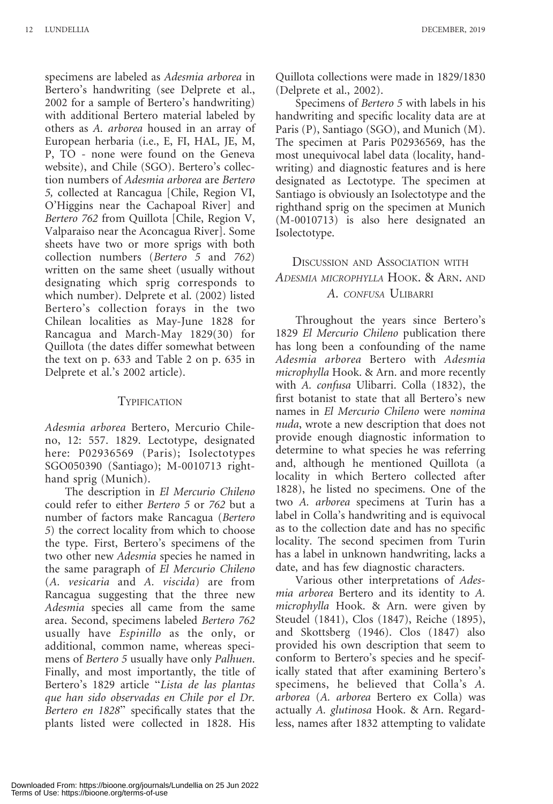specimens are labeled as Adesmia arborea in Bertero's handwriting (see Delprete et al., 2002 for a sample of Bertero's handwriting) with additional Bertero material labeled by others as A. arborea housed in an array of European herbaria (i.e., E, FI, HAL, JE, M, P, TO - none were found on the Geneva website), and Chile (SGO). Bertero's collection numbers of Adesmia arborea are Bertero 5, collected at Rancagua [Chile, Region VI, O'Higgins near the Cachapoal River] and Bertero 762 from Quillota [Chile, Region V, Valparaiso near the Aconcagua River]. Some sheets have two or more sprigs with both collection numbers (Bertero 5 and 762) written on the same sheet (usually without designating which sprig corresponds to which number). Delprete et al. (2002) listed Bertero's collection forays in the two Chilean localities as May-June 1828 for Rancagua and March-May 1829(30) for Quillota (the dates differ somewhat between the text on p. 633 and Table 2 on p. 635 in Delprete et al.'s 2002 article).

#### **TYPIFICATION**

Adesmia arborea Bertero, Mercurio Chileno, 12: 557. 1829. Lectotype, designated here: P02936569 (Paris); Isolectotypes SGO050390 (Santiago); M-0010713 righthand sprig (Munich).

The description in El Mercurio Chileno could refer to either Bertero 5 or 762 but a number of factors make Rancagua (Bertero 5) the correct locality from which to choose the type. First, Bertero's specimens of the two other new Adesmia species he named in the same paragraph of El Mercurio Chileno (A. vesicaria and A. viscida) are from Rancagua suggesting that the three new Adesmia species all came from the same area. Second, specimens labeled Bertero 762 usually have Espinillo as the only, or additional, common name, whereas specimens of *Bertero 5* usually have only *Palhuen*. Finally, and most importantly, the title of Bertero's 1829 article "Lista de las plantas que han sido observadas en Chile por el Dr. Bertero en 1828'' specifically states that the plants listed were collected in 1828. His

Quillota collections were made in 1829/1830 (Delprete et al., 2002).

Specimens of Bertero 5 with labels in his handwriting and specific locality data are at Paris (P), Santiago (SGO), and Munich (M). The specimen at Paris P02936569, has the most unequivocal label data (locality, handwriting) and diagnostic features and is here designated as Lectotype. The specimen at Santiago is obviously an Isolectotype and the righthand sprig on the specimen at Munich (M-0010713) is also here designated an Isolectotype.

## DISCUSSION AND ASSOCIATION WITH ADESMIA MICROPHYLLA HOOK. & ARN. AND A. CONFUSA ULIBARRI

Throughout the years since Bertero's 1829 El Mercurio Chileno publication there has long been a confounding of the name Adesmia arborea Bertero with Adesmia microphylla Hook. & Arn. and more recently with A. confusa Ulibarri. Colla (1832), the first botanist to state that all Bertero's new names in El Mercurio Chileno were nomina nuda, wrote a new description that does not provide enough diagnostic information to determine to what species he was referring and, although he mentioned Quillota (a locality in which Bertero collected after 1828), he listed no specimens. One of the two A. arborea specimens at Turin has a label in Colla's handwriting and is equivocal as to the collection date and has no specific locality. The second specimen from Turin has a label in unknown handwriting, lacks a date, and has few diagnostic characters.

Various other interpretations of Adesmia arborea Bertero and its identity to A. microphylla Hook. & Arn. were given by Steudel (1841), Clos (1847), Reiche (1895), and Skottsberg (1946). Clos (1847) also provided his own description that seem to conform to Bertero's species and he specifically stated that after examining Bertero's specimens, he believed that Colla's A. arborea (A. arborea Bertero ex Colla) was actually A. glutinosa Hook. & Arn. Regardless, names after 1832 attempting to validate